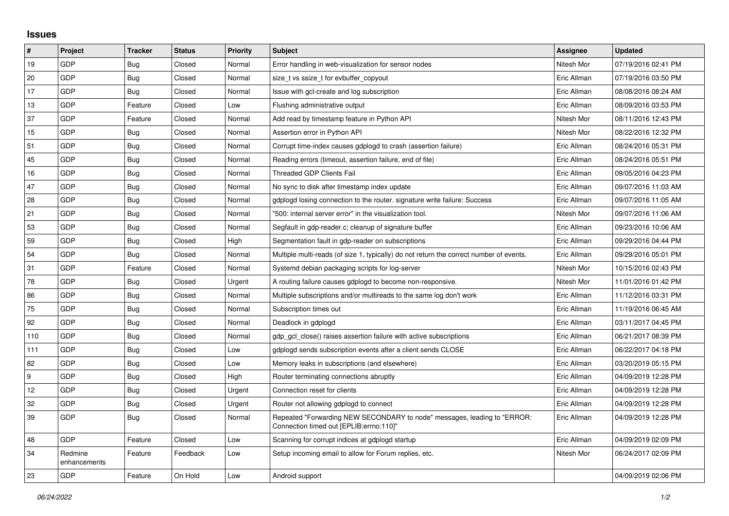## **Issues**

| #                | Project                 | <b>Tracker</b> | <b>Status</b> | Priority | <b>Subject</b>                                                                                                      | Assignee    | <b>Updated</b>      |
|------------------|-------------------------|----------------|---------------|----------|---------------------------------------------------------------------------------------------------------------------|-------------|---------------------|
| 19               | GDP                     | Bug            | Closed        | Normal   | Error handling in web-visualization for sensor nodes                                                                | Nitesh Mor  | 07/19/2016 02:41 PM |
| 20               | GDP                     | Bug            | Closed        | Normal   | size t vs ssize t for evbuffer copyout                                                                              | Eric Allman | 07/19/2016 03:50 PM |
| 17               | GDP                     | Bug            | Closed        | Normal   | Issue with gcl-create and log subscription                                                                          | Eric Allman | 08/08/2016 08:24 AM |
| 13               | GDP                     | Feature        | Closed        | Low      | Flushing administrative output                                                                                      | Eric Allman | 08/09/2016 03:53 PM |
| 37               | GDP                     | Feature        | Closed        | Normal   | Add read by timestamp feature in Python API                                                                         | Nitesh Mor  | 08/11/2016 12:43 PM |
| 15               | GDP                     | Bug            | Closed        | Normal   | Assertion error in Python API                                                                                       | Nitesh Mor  | 08/22/2016 12:32 PM |
| 51               | GDP                     | Bug            | Closed        | Normal   | Corrupt time-index causes gdplogd to crash (assertion failure)                                                      | Eric Allman | 08/24/2016 05:31 PM |
| 45               | GDP                     | <b>Bug</b>     | Closed        | Normal   | Reading errors (timeout, assertion failure, end of file)                                                            | Eric Allman | 08/24/2016 05:51 PM |
| 16               | GDP                     | Bug            | Closed        | Normal   | Threaded GDP Clients Fail                                                                                           | Eric Allman | 09/05/2016 04:23 PM |
| 47               | GDP                     | Bug            | Closed        | Normal   | No sync to disk after timestamp index update                                                                        | Eric Allman | 09/07/2016 11:03 AM |
| 28               | GDP                     | Bug            | Closed        | Normal   | gdplogd losing connection to the router, signature write failure: Success                                           | Eric Allman | 09/07/2016 11:05 AM |
| 21               | GDP                     | <b>Bug</b>     | Closed        | Normal   | '500: internal server error" in the visualization tool.                                                             | Nitesh Mor  | 09/07/2016 11:06 AM |
| 53               | GDP                     | Bug            | Closed        | Normal   | Segfault in gdp-reader.c; cleanup of signature buffer                                                               | Eric Allman | 09/23/2016 10:06 AM |
| 59               | GDP                     | Bug            | Closed        | High     | Segmentation fault in gdp-reader on subscriptions                                                                   | Eric Allman | 09/29/2016 04:44 PM |
| 54               | GDP                     | Bug            | Closed        | Normal   | Multiple multi-reads (of size 1, typically) do not return the correct number of events.                             | Eric Allman | 09/29/2016 05:01 PM |
| 31               | <b>GDP</b>              | Feature        | Closed        | Normal   | Systemd debian packaging scripts for log-server                                                                     | Nitesh Mor  | 10/15/2016 02:43 PM |
| 78               | GDP                     | Bug            | Closed        | Urgent   | A routing failure causes gdplogd to become non-responsive.                                                          | Nitesh Mor  | 11/01/2016 01:42 PM |
| 86               | GDP                     | Bug            | Closed        | Normal   | Multiple subscriptions and/or multireads to the same log don't work                                                 | Eric Allman | 11/12/2016 03:31 PM |
| 75               | <b>GDP</b>              | Bug            | Closed        | Normal   | Subscription times out                                                                                              | Eric Allman | 11/19/2016 06:45 AM |
| 92               | GDP                     | <b>Bug</b>     | Closed        | Normal   | Deadlock in gdplogd                                                                                                 | Eric Allman | 03/11/2017 04:45 PM |
| 110              | GDP                     | Bug            | Closed        | Normal   | gdp gcl close() raises assertion failure with active subscriptions                                                  | Eric Allman | 06/21/2017 08:39 PM |
| 111              | GDP                     | Bug            | Closed        | Low      | gdplogd sends subscription events after a client sends CLOSE                                                        | Eric Allman | 06/22/2017 04:18 PM |
| 82               | GDP                     | Bug            | Closed        | Low      | Memory leaks in subscriptions (and elsewhere)                                                                       | Eric Allman | 03/20/2019 05:15 PM |
| $\boldsymbol{9}$ | GDP                     | <b>Bug</b>     | Closed        | High     | Router terminating connections abruptly                                                                             | Eric Allman | 04/09/2019 12:28 PM |
| 12               | <b>GDP</b>              | <b>Bug</b>     | Closed        | Urgent   | Connection reset for clients                                                                                        | Eric Allman | 04/09/2019 12:28 PM |
| 32               | GDP                     | Bug            | Closed        | Urgent   | Router not allowing gdplogd to connect                                                                              | Eric Allman | 04/09/2019 12:28 PM |
| 39               | GDP                     | Bug            | Closed        | Normal   | Repeated "Forwarding NEW SECONDARY to node" messages, leading to "ERROR:<br>Connection timed out [EPLIB:errno:110]" | Eric Allman | 04/09/2019 12:28 PM |
| 48               | <b>GDP</b>              | Feature        | Closed        | Low      | Scanning for corrupt indices at gdplogd startup                                                                     | Eric Allman | 04/09/2019 02:09 PM |
| 34               | Redmine<br>enhancements | Feature        | Feedback      | Low      | Setup incoming email to allow for Forum replies, etc.                                                               | Nitesh Mor  | 06/24/2017 02:09 PM |
| 23               | GDP                     | Feature        | On Hold       | Low      | Android support                                                                                                     |             | 04/09/2019 02:06 PM |